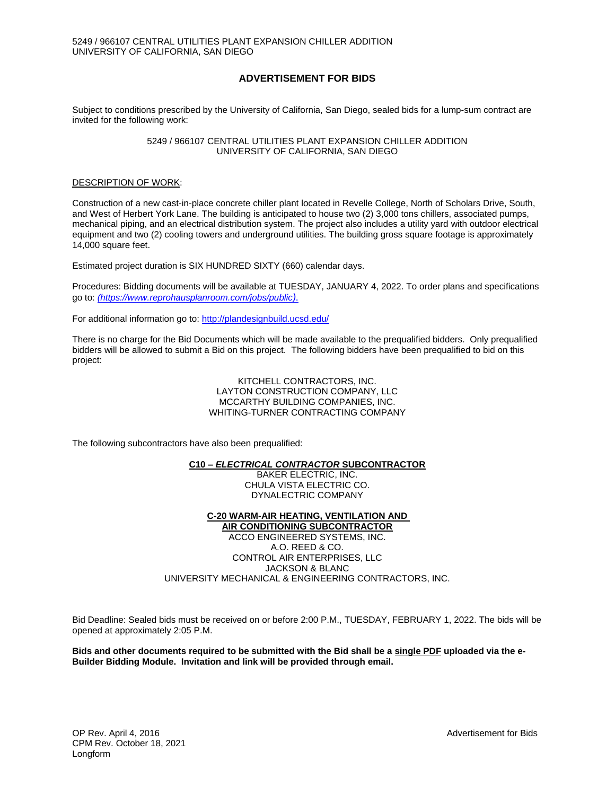# **ADVERTISEMENT FOR BIDS**

Subject to conditions prescribed by the University of California, San Diego, sealed bids for a lump-sum contract are invited for the following work:

> 5249 / 966107 CENTRAL UTILITIES PLANT EXPANSION CHILLER ADDITION UNIVERSITY OF CALIFORNIA, SAN DIEGO

# DESCRIPTION OF WORK:

Construction of a new cast-in-place concrete chiller plant located in Revelle College, North of Scholars Drive, South, and West of Herbert York Lane. The building is anticipated to house two (2) 3,000 tons chillers, associated pumps, mechanical piping, and an electrical distribution system. The project also includes a utility yard with outdoor electrical equipment and two (2) cooling towers and underground utilities. The building gross square footage is approximately 14,000 square feet.

Estimated project duration is SIX HUNDRED SIXTY (660) calendar days.

Procedures: Bidding documents will be available at TUESDAY, JANUARY 4, 2022. To order plans and specifications go to: *[\(https://www.reprohausplanroom.com/jobs/public](https://www.reprohausplanroom.com/jobs/public)).*

For additional information go to:<http://plandesignbuild.ucsd.edu/>

There is no charge for the Bid Documents which will be made available to the prequalified bidders. Only prequalified bidders will be allowed to submit a Bid on this project. The following bidders have been prequalified to bid on this project:

> KITCHELL CONTRACTORS, INC. LAYTON CONSTRUCTION COMPANY, LLC MCCARTHY BUILDING COMPANIES, INC. WHITING-TURNER CONTRACTING COMPANY

The following subcontractors have also been prequalified:

# **C10** *– ELECTRICAL CONTRACTOR* **SUBCONTRACTOR**

BAKER ELECTRIC, INC. CHULA VISTA ELECTRIC CO. DYNALECTRIC COMPANY

**C-20 WARM-AIR HEATING, VENTILATION AND AIR CONDITIONING SUBCONTRACTOR** ACCO ENGINEERED SYSTEMS, INC. A.O. REED & CO. CONTROL AIR ENTERPRISES, LLC JACKSON & BLANC UNIVERSITY MECHANICAL & ENGINEERING CONTRACTORS, INC.

Bid Deadline: Sealed bids must be received on or before 2:00 P.M., TUESDAY, FEBRUARY 1, 2022. The bids will be opened at approximately 2:05 P.M.

**Bids and other documents required to be submitted with the Bid shall be a single PDF uploaded via the e-Builder Bidding Module. Invitation and link will be provided through email.**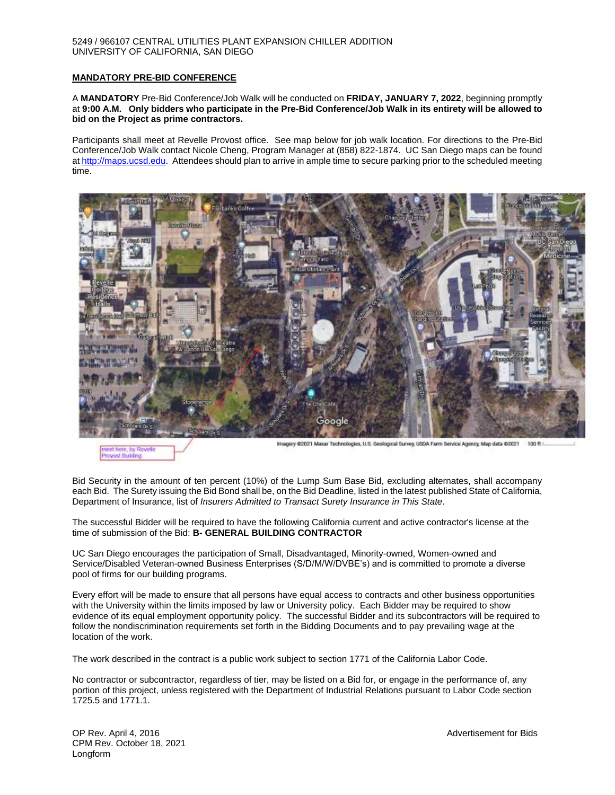#### 5249 / 966107 CENTRAL UTILITIES PLANT EXPANSION CHILLER ADDITION UNIVERSITY OF CALIFORNIA, SAN DIEGO

# **MANDATORY PRE-BID CONFERENCE**

A **MANDATORY** Pre-Bid Conference/Job Walk will be conducted on **FRIDAY, JANUARY 7, 2022**, beginning promptly at **9:00 A.M. Only bidders who participate in the Pre-Bid Conference/Job Walk in its entirety will be allowed to bid on the Project as prime contractors.** 

Participants shall meet at Revelle Provost office. See map below for job walk location. For directions to the Pre-Bid Conference/Job Walk contact Nicole Cheng, Program Manager at (858) 822-1874. UC San Diego maps can be found a[t http://maps.ucsd.edu.](http://maps.ucsd.edu/) Attendees should plan to arrive in ample time to secure parking prior to the scheduled meeting time.



weet here Provost Building Imagery @2021 Maxar Technologies, U.S. Geological Survey, USDA Farm Service Agency, Map data @2021 100 ft 1

Bid Security in the amount of ten percent (10%) of the Lump Sum Base Bid, excluding alternates, shall accompany each Bid. The Surety issuing the Bid Bond shall be, on the Bid Deadline, listed in the latest published State of California, Department of Insurance, list of *Insurers Admitted to Transact Surety Insurance in This State*.

The successful Bidder will be required to have the following California current and active contractor's license at the time of submission of the Bid: **B- GENERAL BUILDING CONTRACTOR**

UC San Diego encourages the participation of Small, Disadvantaged, Minority-owned, Women-owned and Service/Disabled Veteran-owned Business Enterprises (S/D/M/W/DVBE's) and is committed to promote a diverse pool of firms for our building programs.

Every effort will be made to ensure that all persons have equal access to contracts and other business opportunities with the University within the limits imposed by law or University policy. Each Bidder may be required to show evidence of its equal employment opportunity policy. The successful Bidder and its subcontractors will be required to follow the nondiscrimination requirements set forth in the Bidding Documents and to pay prevailing wage at the location of the work.

The work described in the contract is a public work subject to section 1771 of the California Labor Code.

No contractor or subcontractor, regardless of tier, may be listed on a Bid for, or engage in the performance of, any portion of this project, unless registered with the Department of Industrial Relations pursuant to Labor Code section 1725.5 and 1771.1.

OP Rev. April 4, 2016 Advertisement for Bids and Advertisement for Bids Advertisement for Bids Advertisement for Bids CPM Rev. October 18, 2021 Longform